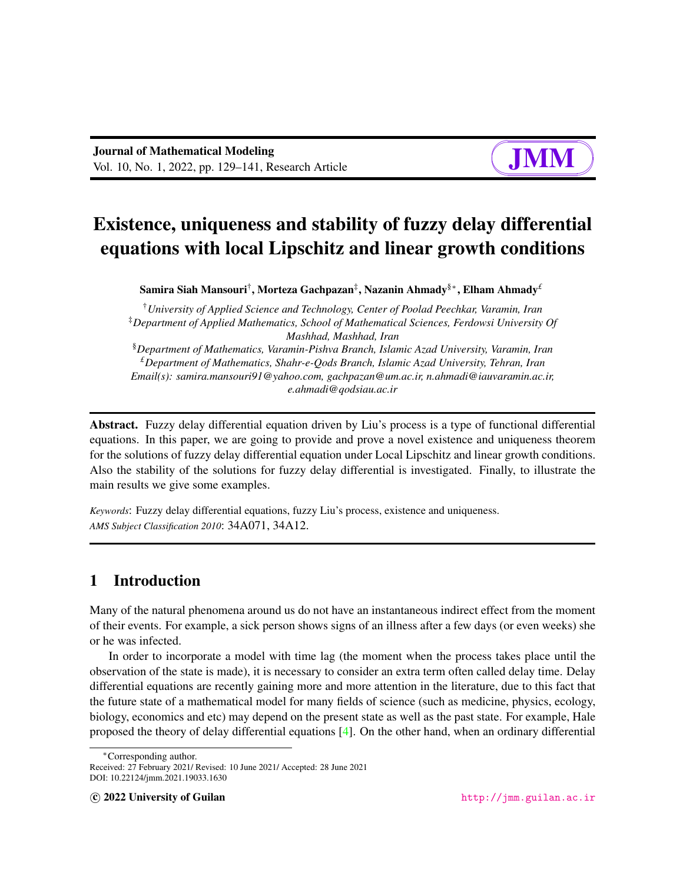#### $\sqrt{a}$  $\leq$ ✘ ∎ a

# Existence, uniqueness and stability of fuzzy delay differential equations with local Lipschitz and linear growth conditions

Samira Siah Mansouri† , Morteza Gachpazan‡ , Nazanin Ahmady§<sup>∗</sup> , Elham Ahmady*£*

†*University of Applied Science and Technology, Center of Poolad Peechkar, Varamin, Iran* ‡*Department of Applied Mathematics, School of Mathematical Sciences, Ferdowsi University Of Mashhad, Mashhad, Iran* §*Department of Mathematics, Varamin-Pishva Branch, Islamic Azad University, Varamin, Iran £Department of Mathematics, Shahr-e-Qods Branch, Islamic Azad University, Tehran, Iran Email(s): samira.mansouri91@yahoo.com, gachpazan@um.ac.ir, n.ahmadi@iauvaramin.ac.ir, e.ahmadi@qodsiau.ac.ir*

Abstract. Fuzzy delay differential equation driven by Liu's process is a type of functional differential equations. In this paper, we are going to provide and prove a novel existence and uniqueness theorem for the solutions of fuzzy delay differential equation under Local Lipschitz and linear growth conditions. Also the stability of the solutions for fuzzy delay differential is investigated. Finally, to illustrate the main results we give some examples.

*Keywords*: Fuzzy delay differential equations, fuzzy Liu's process, existence and uniqueness. *AMS Subject Classification 2010*: 34A071, 34A12.

# 1 Introduction

Many of the natural phenomena around us do not have an instantaneous indirect effect from the moment of their events. For example, a sick person shows signs of an illness after a few days (or even weeks) she or he was infected.

In order to incorporate a model with time lag (the moment when the process takes place until the observation of the state is made), it is necessary to consider an extra term often called delay time. Delay differential equations are recently gaining more and more attention in the literature, due to this fact that the future state of a mathematical model for many fields of science (such as medicine, physics, ecology, biology, economics and etc) may depend on the present state as well as the past state. For example, Hale proposed the theory of delay differential equations [\[4\]](#page-11-0). On the other hand, when an ordinary differential

<sup>∗</sup>Corresponding author.

Received: 27 February 2021/ Revised: 10 June 2021/ Accepted: 28 June 2021 DOI: 10.22124/jmm.2021.19033.1630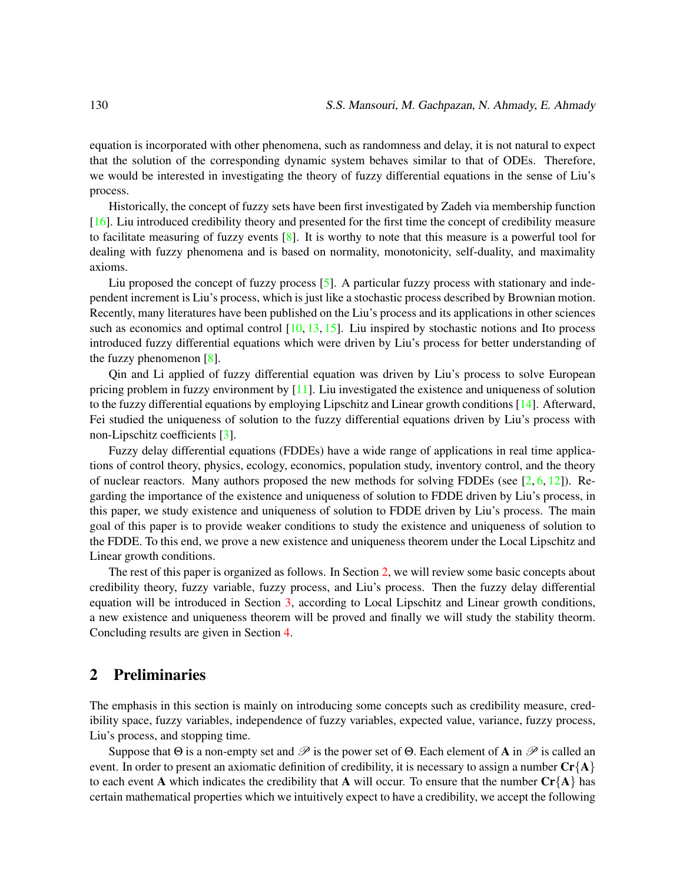equation is incorporated with other phenomena, such as randomness and delay, it is not natural to expect that the solution of the corresponding dynamic system behaves similar to that of ODEs. Therefore, we would be interested in investigating the theory of fuzzy differential equations in the sense of Liu's process.

Historically, the concept of fuzzy sets have been first investigated by Zadeh via membership function [\[16\]](#page-12-0). Liu introduced credibility theory and presented for the first time the concept of credibility measure to facilitate measuring of fuzzy events [\[8\]](#page-11-1). It is worthy to note that this measure is a powerful tool for dealing with fuzzy phenomena and is based on normality, monotonicity, self-duality, and maximality axioms.

Liu proposed the concept of fuzzy process  $[5]$ . A particular fuzzy process with stationary and independent increment is Liu's process, which is just like a stochastic process described by Brownian motion. Recently, many literatures have been published on the Liu's process and its applications in other sciences such as economics and optimal control  $[10, 13, 15]$  $[10, 13, 15]$  $[10, 13, 15]$  $[10, 13, 15]$  $[10, 13, 15]$ . Liu inspired by stochastic notions and Ito process introduced fuzzy differential equations which were driven by Liu's process for better understanding of the fuzzy phenomenon  $[8]$ .

Qin and Li applied of fuzzy differential equation was driven by Liu's process to solve European pricing problem in fuzzy environment by  $[11]$ . Liu investigated the existence and uniqueness of solution to the fuzzy differential equations by employing Lipschitz and Linear growth conditions [\[14\]](#page-12-5). Afterward, Fei studied the uniqueness of solution to the fuzzy differential equations driven by Liu's process with non-Lipschitz coefficients [\[3\]](#page-11-3).

Fuzzy delay differential equations (FDDEs) have a wide range of applications in real time applications of control theory, physics, ecology, economics, population study, inventory control, and the theory of nuclear reactors. Many authors proposed the new methods for solving FDDEs (see  $[2, 6, 12]$  $[2, 6, 12]$  $[2, 6, 12]$  $[2, 6, 12]$  $[2, 6, 12]$ ). Regarding the importance of the existence and uniqueness of solution to FDDE driven by Liu's process, in this paper, we study existence and uniqueness of solution to FDDE driven by Liu's process. The main goal of this paper is to provide weaker conditions to study the existence and uniqueness of solution to the FDDE. To this end, we prove a new existence and uniqueness theorem under the Local Lipschitz and Linear growth conditions.

The rest of this paper is organized as follows. In Section [2,](#page-1-0) we will review some basic concepts about credibility theory, fuzzy variable, fuzzy process, and Liu's process. Then the fuzzy delay differential equation will be introduced in Section [3,](#page-5-0) according to Local Lipschitz and Linear growth conditions, a new existence and uniqueness theorem will be proved and finally we will study the stability theorm. Concluding results are given in Section [4.](#page-11-6)

## <span id="page-1-0"></span>2 Preliminaries

The emphasis in this section is mainly on introducing some concepts such as credibility measure, credibility space, fuzzy variables, independence of fuzzy variables, expected value, variance, fuzzy process, Liu's process, and stopping time.

Suppose that  $\Theta$  is a non-empty set and  $\mathscr P$  is the power set of  $\Theta$ . Each element of A in  $\mathscr P$  is called an event. In order to present an axiomatic definition of credibility, it is necessary to assign a number  $\mathbf{Cr}\{\mathbf{A}\}\$ to each event A which indicates the credibility that A will occur. To ensure that the number  $\mathbf{Cr\{A\}}$  has certain mathematical properties which we intuitively expect to have a credibility, we accept the following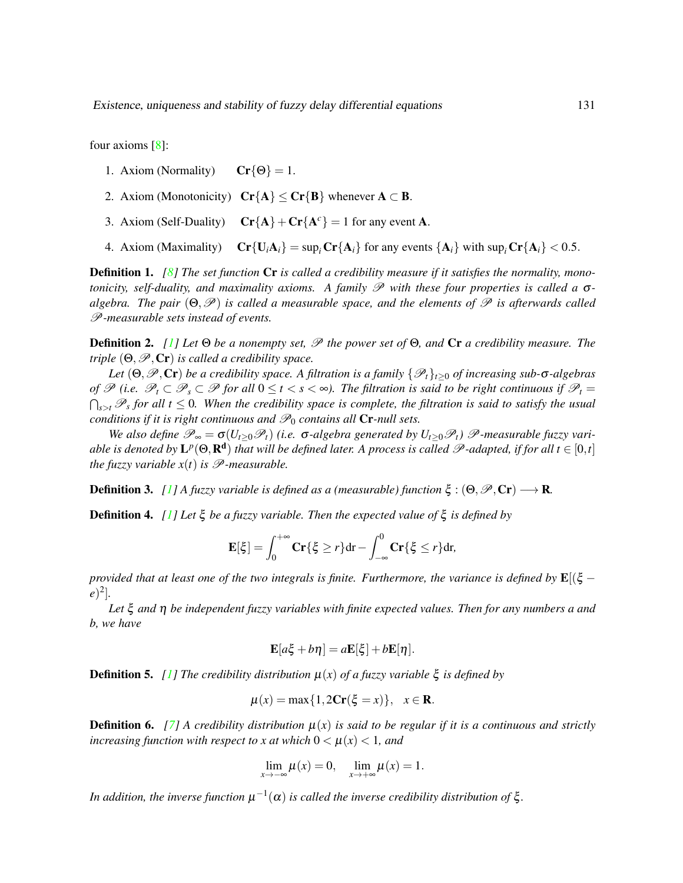four axioms [\[8\]](#page-11-1):

- 1. Axiom (Normality)  $Cr\{\Theta\} = 1$ .
- 2. Axiom (Monotonicity)  $Cr{A} \le Cr{B}$  whenever  $A \subset B$ .
- 3. Axiom (Self-Duality)  $Cr{A} + Cr{A<sup>c</sup>} = 1$  for any event A.
- 4. Axiom (Maximality)  $Cr{U_iA_i} = sup_iCr{A_i}$  for any events  ${A_i}$  with  $sup_i Cr{A_i} < 0.5$ .

Definition 1. *[\[8\]](#page-11-1) The set function* Cr *is called a credibility measure if it satisfies the normality, monotonicity, self-duality, and maximality axioms. A family*  $P$  *with these four properties is called a σalgebra. The pair* (Θ, *P*) *is called a measurable space, and the elements of P is afterwards called* P*-measurable sets instead of events.*

Definition 2. *[\[1\]](#page-11-7) Let* Θ *be a nonempty set,* P *the power set of* Θ*, and* Cr *a credibility measure. The triple*  $(\Theta, \mathscr{P}, \mathbb{C}\mathbf{r})$  *is called a credibility space.* 

*Let*  $(\Theta, \mathcal{P}, \mathbf{Cr})$  *be a credibility space. A filtration is a family*  $\{\mathcal{P}_t\}_{t>0}$  *of increasing sub-* $\sigma$ -*algebras of*  $\mathscr{P}$  (*i.e.*  $\mathscr{P}_t$  ⊂  $\mathscr{P}_s$  ⊂  $\mathscr{P}$  *for all*  $0 \le t < s < \infty$ ). The filtration is said to be right continuous if  $\mathscr{P}_t$  =  $\bigcap_{s>t}\mathscr{P}_s$  for all  $t\leq 0$ . When the credibility space is complete, the filtration is said to satisfy the usual *conditions if it is right continuous and*  $\mathcal{P}_0$  *contains all* Cr-null sets.

*We also define*  $\mathcal{P}_{\infty} = \sigma(U_{t>0} \mathcal{P}_t)$  (i.e.  $\sigma$ -algebra generated by  $U_{t>0} \mathcal{P}_t$ )  $\mathcal{P}$ -measurable fuzzy variable is denoted by  $\mathbf{L}^p(\Theta,\mathbf{R^d})$  that will be defined later. A process is called  $\mathscr{P}\text{-adapted, if for all }t\in[0,t]$ *the fuzzy variable*  $x(t)$  *is*  $\mathcal{P}$ *-measurable.* 

**Definition 3.** *[\[1\]](#page-11-7)* A fuzzy variable is defined as a (measurable) function  $\xi$  :  $(\Theta, \mathscr{P}, Cr) \longrightarrow \mathbb{R}$ .

Definition 4. *[\[1\]](#page-11-7) Let* ξ *be a fuzzy variable. Then the expected value of* ξ *is defined by*

$$
\mathbf{E}[\xi] = \int_0^{+\infty} \mathbf{Cr}\{\xi \ge r\} dr - \int_{-\infty}^0 \mathbf{Cr}\{\xi \le r\} dr,
$$

*provided that at least one of the two integrals is finite. Furthermore, the variance is defined by*  $\mathbf{E}[(\xi$ *e*) 2 ]*.*

*Let* ξ *and* η *be independent fuzzy variables with finite expected values. Then for any numbers a and b, we have*

$$
\mathbf{E}[a\xi + b\eta] = a\mathbf{E}[\xi] + b\mathbf{E}[\eta].
$$

**Definition 5.** [\[1\]](#page-11-7) The credibility distribution  $\mu(x)$  of a fuzzy variable  $\xi$  is defined by

$$
\mu(x) = \max\{1, 2\mathbf{Cr}(\xi = x)\}, \quad x \in \mathbf{R}.
$$

**Definition 6.** [\[7\]](#page-11-8) A credibility distribution  $\mu(x)$  is said to be regular if it is a continuous and strictly *increasing function with respect to x at which*  $0 < \mu(x) < 1$ *, and* 

$$
\lim_{x \to -\infty} \mu(x) = 0, \quad \lim_{x \to +\infty} \mu(x) = 1.
$$

*In addition, the inverse function*  $\mu^{-1}(\alpha)$  *is called the inverse credibility distribution of*  $\xi$ *.*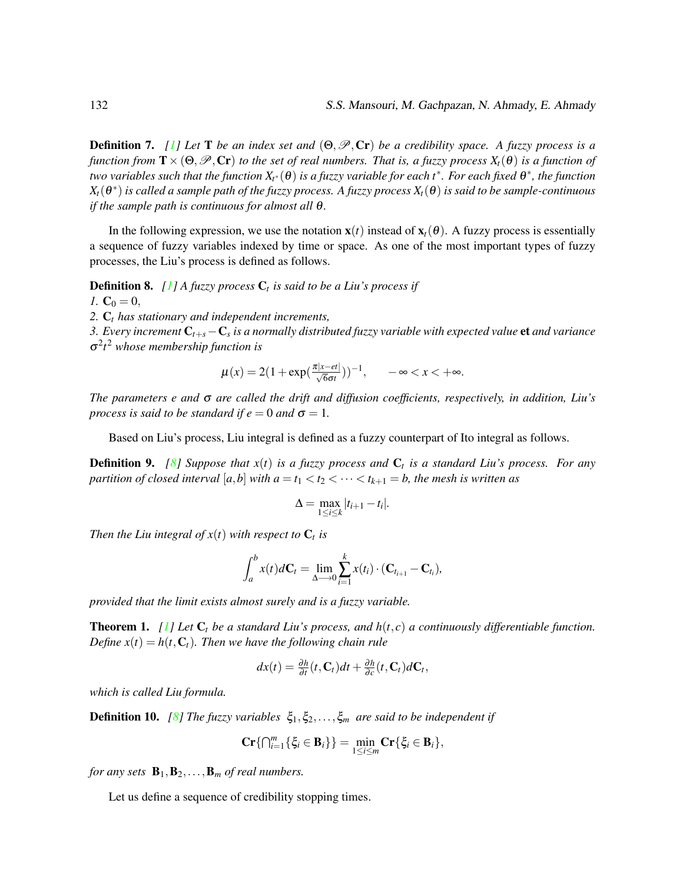**Definition 7.** *[\[1\]](#page-11-7)* Let **T** *be an index set and*  $(\Theta, \mathcal{P}, \mathbf{Cr})$  *be a credibility space. A fuzzy process is a function from*  $\mathbf{T} \times (\Theta, \mathcal{P}, \mathbf{Cr})$  *to the set of real numbers. That is, a fuzzy process*  $X_t(\theta)$  *is a function of* two variables such that the function  $X_{t^*}(\theta)$  is a fuzzy variable for each t $^*$ . For each fixed  $\theta^*$ , the function *Xt*(θ ∗ ) *is called a sample path of the fuzzy process. A fuzzy process Xt*(θ) *is said to be sample-continuous if the sample path is continuous for almost all* θ*.*

In the following expression, we use the notation  $\mathbf{x}(t)$  instead of  $\mathbf{x}_t(\theta)$ . A fuzzy process is essentially a sequence of fuzzy variables indexed by time or space. As one of the most important types of fuzzy processes, the Liu's process is defined as follows.

Definition 8. *[\[1\]](#page-11-7) A fuzzy process* C*<sup>t</sup> is said to be a Liu's process if*

*1.*  $C_0 = 0$ ,

*2.* C*<sup>t</sup> has stationary and independent increments,*

*3. Every increment* C*t*+*s*−C*<sup>s</sup> is a normally distributed fuzzy variable with expected value* et *and variance* σ 2 *t* <sup>2</sup> *whose membership function is*

$$
\mu(x) = 2(1 + \exp(\frac{\pi|x - et|}{\sqrt{6}\sigma t}))^{-1}, \quad -\infty < x < +\infty.
$$

*The parameters e and* σ *are called the drift and diffusion coefficients, respectively, in addition, Liu's process is said to be standard if*  $e = 0$  *and*  $\sigma = 1$ *.* 

Based on Liu's process, Liu integral is defined as a fuzzy counterpart of Ito integral as follows.

Definition 9. *[\[8\]](#page-11-1) Suppose that x*(*t*) *is a fuzzy process and* C*<sup>t</sup> is a standard Liu's process. For any partition of closed interval* [ $a$ , $b$ ] *with*  $a = t_1 < t_2 < \cdots < t_{k+1} = b$ , the mesh is written as

$$
\Delta = \max_{1 \leq i \leq k} |t_{i+1} - t_i|.
$$

*Then the Liu integral of*  $x(t)$  *with respect to*  $C_t$  *is* 

$$
\int_a^b x(t)d\mathbf{C}_t = \lim_{\Delta \to 0} \sum_{i=1}^k x(t_i) \cdot (\mathbf{C}_{t_{i+1}} - \mathbf{C}_{t_i}),
$$

*provided that the limit exists almost surely and is a fuzzy variable.*

Theorem 1. *[\[1\]](#page-11-7) Let* C*<sup>t</sup> be a standard Liu's process, and h*(*t*, *c*) *a continuously differentiable function. Define*  $x(t) = h(t, C_t)$ *. Then we have the following chain rule* 

$$
dx(t) = \frac{\partial h}{\partial t}(t, \mathbf{C}_t)dt + \frac{\partial h}{\partial c}(t, \mathbf{C}_t)d\mathbf{C}_t,
$$

*which is called Liu formula.*

**Definition 10.** *[\[8\]](#page-11-1) The fuzzy variables*  $\xi_1, \xi_2, \ldots, \xi_m$  *are said to be independent if* 

$$
\mathbf{Cr}\{\bigcap_{i=1}^m\{\xi_i\in\mathbf{B}_i\}\}=\min_{1\leq i\leq m}\mathbf{Cr}\{\xi_i\in\mathbf{B}_i\},\
$$

*for any sets*  $\mathbf{B}_1, \mathbf{B}_2, \ldots, \mathbf{B}_m$  *of real numbers.* 

Let us define a sequence of credibility stopping times.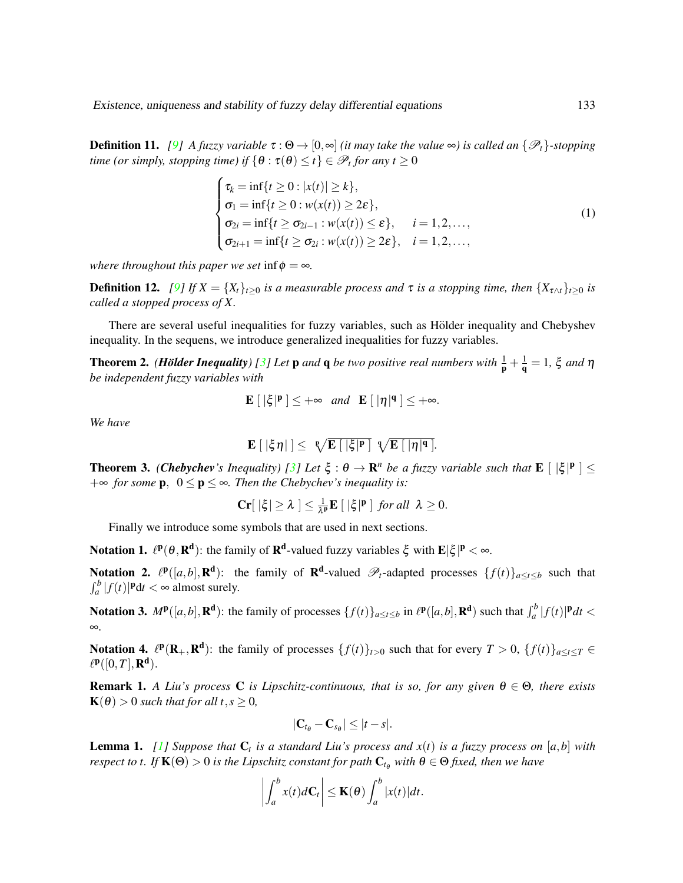**Definition 11.** [\[9\]](#page-12-7) A fuzzy variable  $\tau : \Theta \to [0, \infty]$  *(it may take the value*  $\infty$ ) is called an  $\{\mathscr{P}_t\}$ -stopping *time (or simply, stopping time) if*  $\{\theta : \tau(\theta) \leq t\} \in \mathscr{P}_t$  for any  $t \geq 0$ 

$$
\begin{cases}\n\tau_k = \inf\{t \ge 0 : |x(t)| \ge k\}, \\
\sigma_1 = \inf\{t \ge 0 : w(x(t)) \ge 2\varepsilon\}, \\
\sigma_{2i} = \inf\{t \ge \sigma_{2i-1} : w(x(t)) \le \varepsilon\}, \quad i = 1, 2, ..., \\
\sigma_{2i+1} = \inf\{t \ge \sigma_{2i} : w(x(t)) \ge 2\varepsilon\}, \quad i = 1, 2, ..., \n\end{cases}
$$
\n(1)

*where throughout this paper we set* inf $\phi = \infty$ *.* 

**Definition 12.** *[\[9\]](#page-12-7) If*  $X = \{X_t\}_{t>0}$  *is a measurable process and*  $\tau$  *is a stopping time, then*  $\{X_{\tau \wedge t}\}_{t>0}$  *is called a stopped process of X.*

There are several useful inequalities for fuzzy variables, such as Hölder inequality and Chebyshev inequality. In the sequens, we introduce generalized inequalities for fuzzy variables.

**Theorem 2.** *(Hölder Inequality)* [\[3\]](#page-11-3) Let **p** and **q** be two positive real numbers with  $\frac{1}{p} + \frac{1}{q} = 1$ ,  $\xi$  and  $\eta$ *be independent fuzzy variables with*

$$
\mathbf{E}\left[\right. |\xi|^p\left.\right]\leq +\infty \quad \text{and} \quad \mathbf{E}\left[\right. |\eta|^q\left.\right]\leq +\infty.
$$

*We have*

$$
\mathbf{E} [|\xi \eta|] \leq \sqrt[p]{\mathbf{E} [|\xi|^p]} \sqrt[p]{\mathbf{E} [|\eta|^q]}.
$$

**Theorem 3.** *(Chebychev's Inequality)* [\[3\]](#page-11-3) Let  $\xi$  :  $\theta \to \mathbb{R}^n$  be a fuzzy variable such that  $\mathbf{E} \lfloor |\xi|^p \rfloor \leq$  $+∞$  *for some* **p**,  $0 ≤ p ≤ ∞$ *. Then the Chebychev's inequality is:* 

$$
\mathbf{Cr}[\,|\xi|\geq\lambda\,]\leq\textstyle\frac{1}{\lambda^{\mathbf{p}}}\mathbf{E}\,[\,|\xi|^{\mathbf{p}}\,]\,\text{ for all }\,\lambda\geq 0.
$$

Finally we introduce some symbols that are used in next sections.

**Notation 1.**  $\ell^p(\theta, R^d)$ : the family of  $R^d$ -valued fuzzy variables  $\xi$  with  $E|\xi|^p < \infty$ .

Notation 2.  $\ell^{\mathbf{p}}([a,b], \mathbf{R}^d)$ : the family of  $\mathbf{R}^d$ -valued  $\mathscr{P}_t$ -adapted processes  $\{f(t)\}_{a \le t \le b}$  such that  $\int_a^b |f(t)|^{\mathbf{p}} dt < \infty$  almost surely.

Notation 3.  $M^{\mathbf{p}}([a,b], \mathbf{R}^{\mathbf{d}})$ : the family of processes  $\{f(t)\}_{a \le t \le b}$  in  $\ell^{\mathbf{p}}([a,b], \mathbf{R}^{\mathbf{d}})$  such that  $\int_a^b |f(t)|^{\mathbf{p}} dt <$ ∞.

Notation 4.  $\ell^p(\mathbf{R}_+, \mathbf{R}^d)$ : the family of processes  $\{f(t)\}_{t>0}$  such that for every  $T > 0$ ,  $\{f(t)\}_{a \le t \le T} \in$  $\ell^{\mathbf{p}}([0,T],\mathbf{R}^{\mathbf{d}}).$ 

**Remark 1.** *A Liu's process* **C** *is Lipschitz-continuous, that is so, for any given*  $\theta \in \Theta$ *, there exists*  $\mathbf{K}(\theta) > 0$  *such that for all t*,  $s \geq 0$ *,* 

$$
|\mathbf{C}_{t_{\theta}}-\mathbf{C}_{s_{\theta}}|\leq |t-s|.
$$

**Lemma 1.** [\[1\]](#page-11-7) Suppose that  $C_t$  is a standard Liu's process and  $x(t)$  is a fuzzy process on  $[a,b]$  with *respect to t. If*  $K(\Theta) > 0$  *is the Lipschitz constant for path*  $C_{t_{\theta}}$  *with*  $\theta \in \Theta$  *fixed, then we have* 

$$
\left|\int_a^b x(t)d\mathbf{C}_t\right| \leq \mathbf{K}(\boldsymbol{\theta})\int_a^b |x(t)|dt.
$$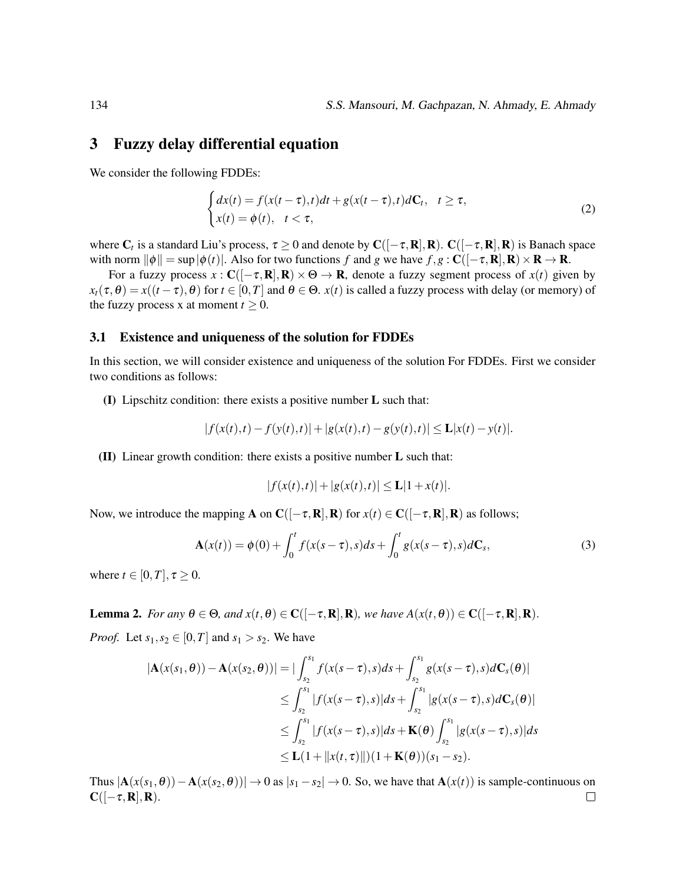#### <span id="page-5-0"></span>3 Fuzzy delay differential equation

We consider the following FDDEs:

<span id="page-5-1"></span>
$$
\begin{cases} dx(t) = f(x(t-\tau),t)dt + g(x(t-\tau),t)d\mathbf{C}_t, & t \ge \tau, \\ x(t) = \phi(t), & t < \tau, \end{cases}
$$
\n(2)

where  $C_t$  is a standard Liu's process,  $\tau \ge 0$  and denote by  $C([-\tau,\mathbf{R}],\mathbf{R})$ .  $C([-\tau,\mathbf{R}],\mathbf{R})$  is Banach space with norm  $\|\phi\| = \sup|\phi(t)|$ . Also for two functions *f* and *g* we have  $f, g : \mathbf{C}([-\tau, \mathbf{R}], \mathbf{R}) \times \mathbf{R} \to \mathbf{R}$ .

For a fuzzy process  $x : C([-\tau, R], R) \times \Theta \to R$ , denote a fuzzy segment process of  $x(t)$  given by  $x_t(\tau,\theta) = x((t-\tau),\theta)$  for  $t \in [0,T]$  and  $\theta \in \Theta$ .  $x(t)$  is called a fuzzy process with delay (or memory) of the fuzzy process x at moment  $t \geq 0$ .

#### 3.1 Existence and uniqueness of the solution for FDDEs

In this section, we will consider existence and uniqueness of the solution For FDDEs. First we consider two conditions as follows:

<span id="page-5-2"></span>(I) Lipschitz condition: there exists a positive number L such that:

$$
|f(x(t),t) - f(y(t),t)| + |g(x(t),t) - g(y(t),t)| \le L|x(t) - y(t)|.
$$

<span id="page-5-3"></span>(II) Linear growth condition: there exists a positive number L such that:

$$
|f(x(t),t)| + |g(x(t),t)| \le L|1+x(t)|.
$$

Now, we introduce the mapping **A** on  $C([-\tau, R], R)$  for  $x(t) \in C([-\tau, R], R)$  as follows;

<span id="page-5-5"></span>
$$
\mathbf{A}(x(t)) = \phi(0) + \int_0^t f(x(s-\tau), s)ds + \int_0^t g(x(s-\tau), s)d\mathbf{C}_s,
$$
 (3)

where  $t \in [0, T]$ ,  $\tau \geq 0$ .

<span id="page-5-4"></span>**Lemma 2.** *For any*  $\theta \in \Theta$ *, and*  $x(t, \theta) \in \mathbb{C}([-\tau, \mathbb{R}], \mathbb{R})$ *, we have*  $A(x(t, \theta)) \in \mathbb{C}([-\tau, \mathbb{R}], \mathbb{R})$ *. Proof.* Let  $s_1, s_2 \in [0, T]$  and  $s_1 > s_2$ . We have

$$
|\mathbf{A}(x(s_1, \theta)) - \mathbf{A}(x(s_2, \theta))| = |\int_{s_2}^{s_1} f(x(s - \tau), s)ds + \int_{s_2}^{s_1} g(x(s - \tau), s)d\mathbf{C}_s(\theta)|
$$
  
\n
$$
\leq \int_{s_2}^{s_1} |f(x(s - \tau), s)|ds + \int_{s_2}^{s_1} |g(x(s - \tau), s)d\mathbf{C}_s(\theta)|
$$
  
\n
$$
\leq \int_{s_2}^{s_1} |f(x(s - \tau), s)|ds + \mathbf{K}(\theta) \int_{s_2}^{s_1} |g(x(s - \tau), s)|ds
$$
  
\n
$$
\leq \mathbf{L}(1 + ||x(t, \tau)||)(1 + \mathbf{K}(\theta))(s_1 - s_2).
$$

Thus  $|A(x(s_1, \theta)) - A(x(s_2, \theta))| \to 0$  as  $|s_1 - s_2| \to 0$ . So, we have that  $A(x(t))$  is sample-continuous on  $\mathbf{C}([-\tau,\mathbf{R}],\mathbf{R}).$  $\Box$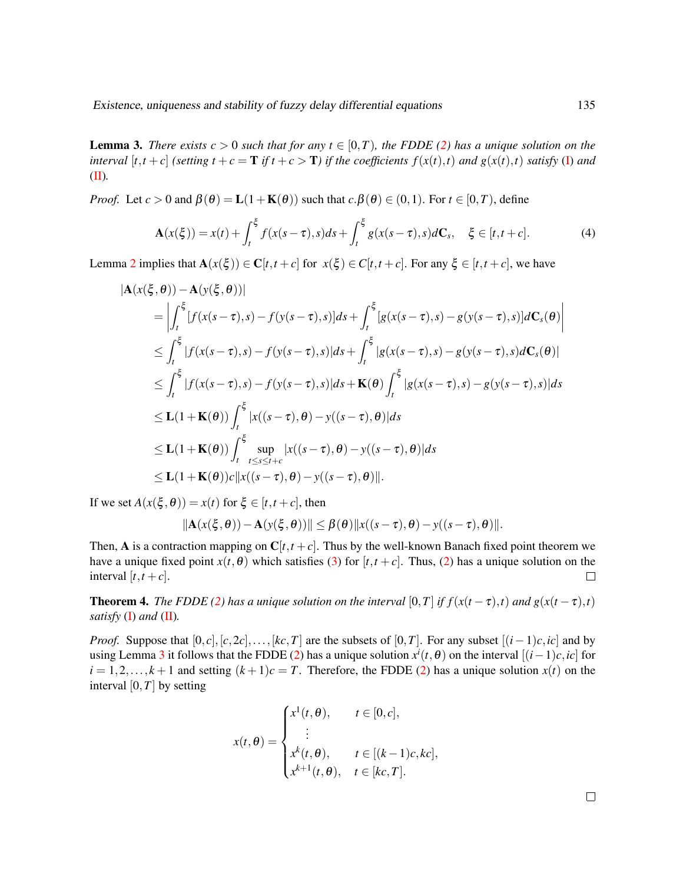<span id="page-6-0"></span>**Lemma 3.** *There exists c* > 0 *such that for any t*  $\in$  [0, *T*)*, the FDDE* [\(2\)](#page-5-1) *has a unique solution on the* interval  $[t, t+c]$  (setting  $t+c = T$  if  $t+c > T$ ) if the coefficients  $f(x(t), t)$  and  $g(x(t), t)$  satisfy [\(I\)](#page-5-2) and [\(II\)](#page-5-3)*.*

*Proof.* Let  $c > 0$  and  $\beta(\theta) = L(1 + K(\theta))$  such that  $c.\beta(\theta) \in (0,1)$ . For  $t \in [0,T)$ , define

$$
\mathbf{A}(x(\xi)) = x(t) + \int_{t}^{\xi} f(x(s-\tau),s)ds + \int_{t}^{\xi} g(x(s-\tau),s)d\mathbf{C}_{s}, \quad \xi \in [t, t+c].
$$
 (4)

Lemma [2](#page-5-4) implies that  $\mathbf{A}(x(\xi)) \in \mathbf{C}[t,t+c]$  for  $x(\xi) \in \mathbf{C}[t,t+c]$ . For any  $\xi \in [t,t+c]$ , we have

$$
|\mathbf{A}(x(\xi,\theta)) - \mathbf{A}(y(\xi,\theta))|
$$
  
\n
$$
= \left| \int_{t}^{\xi} [f(x(s-\tau),s) - f(y(s-\tau),s)]ds + \int_{t}^{\xi} [g(x(s-\tau),s) - g(y(s-\tau),s)]d\mathbf{C}_{s}(\theta) \right|
$$
  
\n
$$
\leq \int_{t}^{\xi} |f(x(s-\tau),s) - f(y(s-\tau),s)|ds + \int_{t}^{\xi} |g(x(s-\tau),s) - g(y(s-\tau),s) d\mathbf{C}_{s}(\theta)|
$$
  
\n
$$
\leq \int_{t}^{\xi} |f(x(s-\tau),s) - f(y(s-\tau),s)|ds + \mathbf{K}(\theta) \int_{t}^{\xi} |g(x(s-\tau),s) - g(y(s-\tau),s)|ds
$$
  
\n
$$
\leq \mathbf{L}(1+\mathbf{K}(\theta)) \int_{t}^{\xi} |x((s-\tau),\theta) - y((s-\tau),\theta)|ds
$$
  
\n
$$
\leq \mathbf{L}(1+\mathbf{K}(\theta)) \int_{t}^{\xi} \sup_{t \leq s \leq t+c} |x((s-\tau),\theta) - y((s-\tau),\theta)|ds
$$
  
\n
$$
\leq \mathbf{L}(1+\mathbf{K}(\theta)) c ||x((s-\tau),\theta) - y((s-\tau),\theta)||.
$$

If we set  $A(x(\xi, \theta)) = x(t)$  for  $\xi \in [t, t+c]$ , then

$$
\|\mathbf{A}(x(\xi,\theta)) - \mathbf{A}(y(\xi,\theta))\| \leq \beta(\theta) \|x((s-\tau),\theta) - y((s-\tau),\theta)\|.
$$

Then, A is a contraction mapping on  $C[t, t+c]$ . Thus by the well-known Banach fixed point theorem we have a unique fixed point  $x(t, \theta)$  which satisfies [\(3\)](#page-5-5) for  $[t, t + c]$ . Thus, [\(2\)](#page-5-1) has a unique solution on the interval  $[t, t+c]$ .  $\Box$ 

**Theorem 4.** *The FDDE [\(2\)](#page-5-1)* has a unique solution on the interval [0,*T*] *if*  $f(x(t-\tau),t)$  and  $g(x(t-\tau),t)$ *satisfy* [\(I\)](#page-5-2) *and* [\(II\)](#page-5-3)*.*

*Proof.* Suppose that  $[0, c], [c, 2c], \ldots, [kc, T]$  are the subsets of  $[0, T]$ . For any subset  $[(i - 1)c, ic]$  and by using Lemma [3](#page-6-0) it follows that the FDDE [\(2\)](#page-5-1) has a unique solution  $x^i(t, \theta)$  on the interval  $[(i-1)c, ic]$  for  $i = 1, 2, \ldots, k + 1$  and setting  $(k + 1)c = T$ . Therefore, the FDDE [\(2\)](#page-5-1) has a unique solution  $x(t)$  on the interval  $[0, T]$  by setting

$$
x(t,\theta) = \begin{cases} x^1(t,\theta), & t \in [0,c], \\ \vdots \\ x^k(t,\theta), & t \in [(k-1)c,kc], \\ x^{k+1}(t,\theta), & t \in [kc,T]. \end{cases}
$$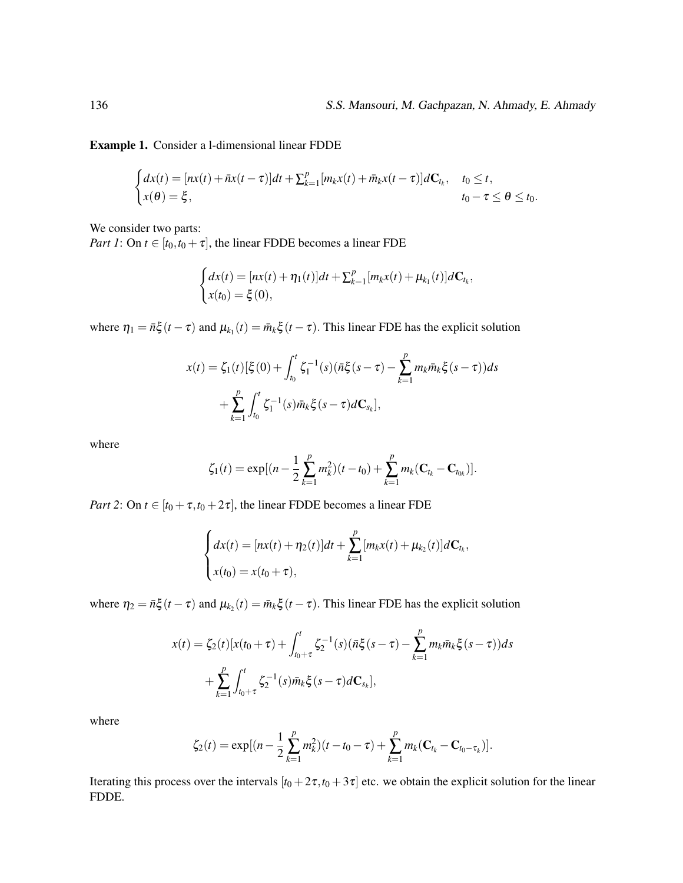Example 1. Consider a l-dimensional linear FDDE

$$
\begin{cases}\n dx(t) = [nx(t) + \bar nx(t-\tau)]dt + \sum_{k=1}^p [m_k x(t) + \bar m_k x(t-\tau)]d\mathbf{C}_{t_k}, & t_0 \le t, \\
 x(\theta) = \xi, & t_0 - \tau \le \theta \le t_0.\n\end{cases}
$$

We consider two parts:

*Part 1*: On  $t \in [t_0, t_0 + \tau]$ , the linear FDDE becomes a linear FDE

$$
\begin{cases} dx(t) = [nx(t) + \eta_1(t)]dt + \sum_{k=1}^p [m_k x(t) + \mu_{k_1}(t)]d\mathbf{C}_{t_k}, \\ x(t_0) = \xi(0), \end{cases}
$$

where  $\eta_1 = \bar{n}\xi(t-\tau)$  and  $\mu_{k_1}(t) = \bar{m}_k\xi(t-\tau)$ . This linear FDE has the explicit solution

$$
x(t) = \zeta_1(t) [\xi(0) + \int_{t_0}^t \zeta_1^{-1}(s) (\bar{n}\xi(s-\tau) - \sum_{k=1}^p m_k \bar{m}_k \xi(s-\tau)) ds + \sum_{k=1}^p \int_{t_0}^t \zeta_1^{-1}(s) \bar{m}_k \xi(s-\tau) dC_{s_k}],
$$

where

$$
\zeta_1(t) = \exp[(n - \frac{1}{2}\sum_{k=1}^p m_k^2)(t - t_0) + \sum_{k=1}^p m_k(\mathbf{C}_{t_k} - \mathbf{C}_{t_{0k}})].
$$

*Part 2*: On  $t \in [t_0 + \tau, t_0 + 2\tau]$ , the linear FDDE becomes a linear FDE

$$
\begin{cases}\n dx(t) = [nx(t) + \eta_2(t)]dt + \sum_{k=1}^p [m_k x(t) + \mu_{k_2}(t)]d\mathbf{C}_{t_k}, \\
 x(t_0) = x(t_0 + \tau),\n\end{cases}
$$

where  $\eta_2 = \bar{n}\xi(t-\tau)$  and  $\mu_{k_2}(t) = \bar{m}_k\xi(t-\tau)$ . This linear FDE has the explicit solution

$$
x(t) = \zeta_2(t)[x(t_0 + \tau) + \int_{t_0 + \tau}^t \zeta_2^{-1}(s)(\bar{n}\xi(s - \tau) - \sum_{k=1}^p m_k \bar{m}_k \xi(s - \tau))ds + \sum_{k=1}^p \int_{t_0 + \tau}^t \zeta_2^{-1}(s)\bar{m}_k \xi(s - \tau)d\mathbf{C}_{s_k}],
$$

where

$$
\zeta_2(t) = \exp[(n-\frac{1}{2}\sum_{k=1}^p m_k^2)(t-t_0-\tau) + \sum_{k=1}^p m_k(\mathbf{C}_{t_k}-\mathbf{C}_{t_0-\tau_k})].
$$

Iterating this process over the intervals  $[t_0 + 2\tau, t_0 + 3\tau]$  etc. we obtain the explicit solution for the linear FDDE.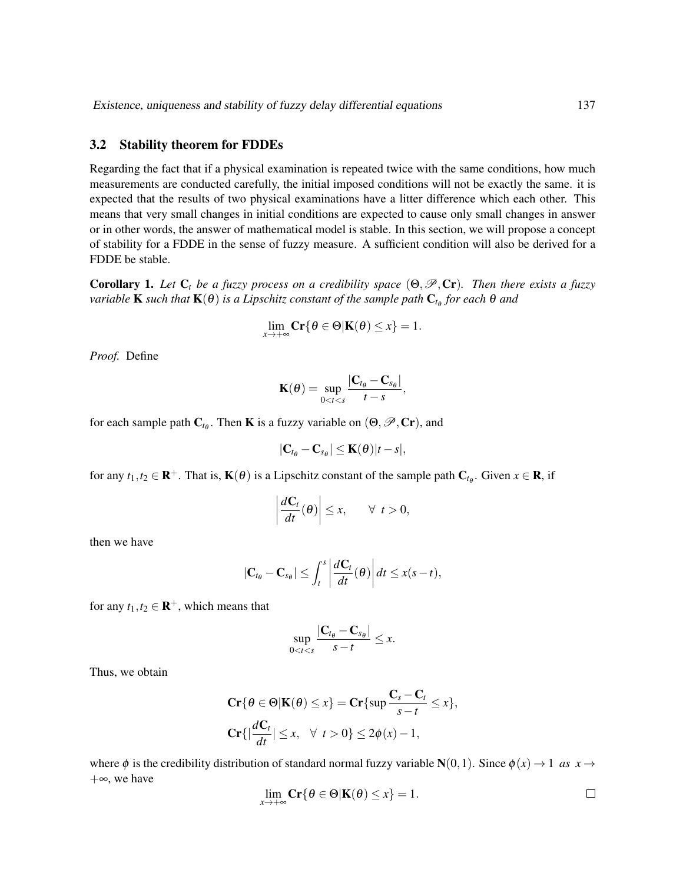#### 3.2 Stability theorem for FDDEs

Regarding the fact that if a physical examination is repeated twice with the same conditions, how much measurements are conducted carefully, the initial imposed conditions will not be exactly the same. it is expected that the results of two physical examinations have a litter difference which each other. This means that very small changes in initial conditions are expected to cause only small changes in answer or in other words, the answer of mathematical model is stable. In this section, we will propose a concept of stability for a FDDE in the sense of fuzzy measure. A sufficient condition will also be derived for a FDDE be stable.

**Corollary 1.** Let  $C_t$  be a fuzzy process on a credibility space  $(\Theta, \mathcal{P}, Cr)$ . Then there exists a fuzzy  $\nu$ ariable  $\bf{K}$  such that  $\bf{K}(\theta)$  is a Lipschitz constant of the sample path  $\bf{C}_{t_{\theta}}$  for each  $\theta$  and

$$
\lim_{x\to+\infty}\mathbf{Cr}\{\theta\in\Theta|\mathbf{K}(\theta)\leq x\}=1.
$$

*Proof.* Define

$$
\mathbf{K}(\boldsymbol{\theta}) = \sup_{0 < t < s} \frac{|\mathbf{C}_{t_{\boldsymbol{\theta}}} - \mathbf{C}_{s_{\boldsymbol{\theta}}}|}{t - s},
$$

for each sample path  $C_{t_{\theta}}$ . Then **K** is a fuzzy variable on  $(\Theta, \mathscr{P}, Cr)$ , and

$$
|\mathbf{C}_{t_{\theta}}-\mathbf{C}_{s_{\theta}}|\leq \mathbf{K}(\theta)|t-s|,
$$

for any  $t_1, t_2 \in \mathbf{R}^+$ . That is,  $\mathbf{K}(\theta)$  is a Lipschitz constant of the sample path  $\mathbf{C}_{t_\theta}$ . Given  $x \in \mathbf{R}$ , if

$$
\left|\frac{d\mathbf{C}_t}{dt}(\boldsymbol{\theta})\right| \leq x, \qquad \forall \ \ t > 0,
$$

then we have

$$
|\mathbf{C}_{t_{\theta}}-\mathbf{C}_{s_{\theta}}|\leq \int_{t}^{s}\left|\frac{d\mathbf{C}_{t}}{dt}(\theta)\right|dt\leq x(s-t),
$$

for any  $t_1, t_2 \in \mathbf{R}^+$ , which means that

$$
\sup_{0
$$

Thus, we obtain

$$
\mathbf{Cr}\{\theta \in \Theta | \mathbf{K}(\theta) \le x\} = \mathbf{Cr}\{\sup \frac{\mathbf{C}_s - \mathbf{C}_t}{s - t} \le x\},\
$$

$$
\mathbf{Cr}\{\left|\frac{d\mathbf{C}_t}{dt}| \le x, \quad \forall \ t > 0\} \le 2\phi(x) - 1,
$$

where  $\phi$  is the credibility distribution of standard normal fuzzy variable  $N(0,1)$ . Since  $\phi(x) \rightarrow 1$  *as*  $x \rightarrow$ +∞, we have

$$
\lim_{x \to +\infty} \mathbf{Cr}\{\theta \in \Theta | \mathbf{K}(\theta) \le x\} = 1.
$$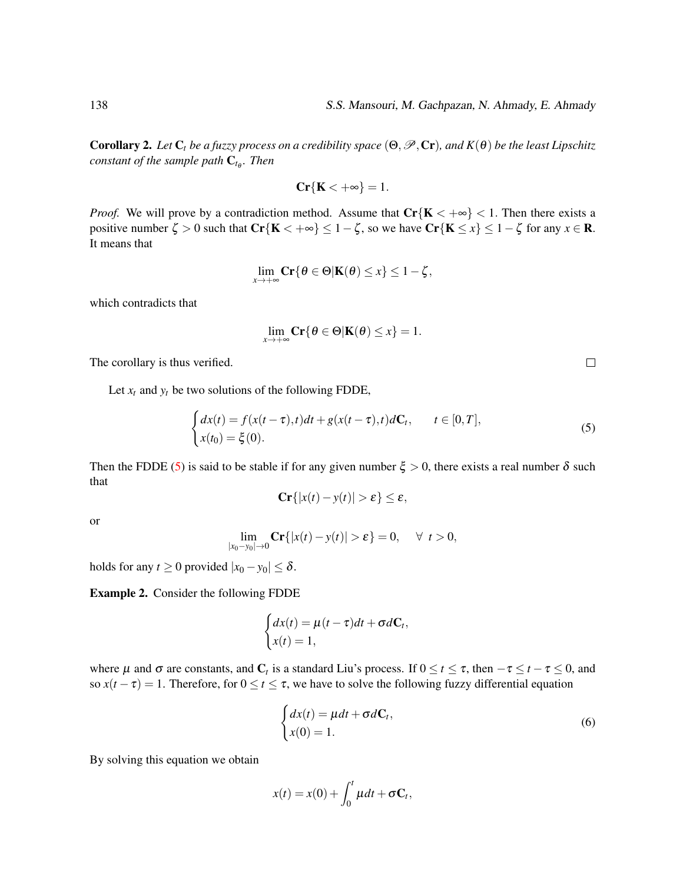**Corollary 2.** *Let*  $C_t$  *be a fuzzy process on a credibility space*  $(\Theta, \mathcal{P}, Cr)$ *, and*  $K(\theta)$  *be the least Lipschitz constant of the sample path* C*t*<sup>θ</sup> *. Then*

$$
\mathbf{Cr}\{\mathbf{K} < +\infty\} = 1.
$$

*Proof.* We will prove by a contradiction method. Assume that  $Cr{K < +\infty} < 1$ . Then there exists a positive number  $\zeta > 0$  such that  $\mathbf{Cr}\{\mathbf{K} < +\infty\} \le 1 - \zeta$ , so we have  $\mathbf{Cr}\{\mathbf{K} \le x\} \le 1 - \zeta$  for any  $x \in \mathbf{R}$ . It means that

$$
\lim_{x \to +\infty} \mathbf{Cr}\{\theta \in \Theta | \mathbf{K}(\theta) \leq x\} \leq 1-\zeta,
$$

which contradicts that

$$
\lim_{x\to+\infty}\mathbf{Cr}\{\theta\in\Theta|\mathbf{K}(\theta)\leq x\}=1.
$$

The corollary is thus verified.

Let  $x_t$  and  $y_t$  be two solutions of the following FDDE,

$$
\begin{cases} dx(t) = f(x(t-\tau),t)dt + g(x(t-\tau),t)d\mathbf{C}_t, & t \in [0,T],\\ x(t_0) = \xi(0). \end{cases}
$$
\n(5)

Then the FDDE [\(5\)](#page-9-0) is said to be stable if for any given number  $\xi > 0$ , there exists a real number  $\delta$  such that

$$
\mathbf{Cr}\{|x(t)-y(t)|>\varepsilon\}\leq\varepsilon,
$$

or

$$
\lim_{|x_0-y_0|\to 0} \mathbf{Cr}\{|x(t)-y(t)|>\varepsilon\}=0, \quad \forall \ t>0,
$$

holds for any  $t \ge 0$  provided  $|x_0 - y_0| \le \delta$ .

Example 2. Consider the following FDDE

$$
\begin{cases} dx(t) = \mu(t-\tau)dt + \sigma d\mathbf{C}_t, \\ x(t) = 1, \end{cases}
$$

where  $\mu$  and  $\sigma$  are constants, and  $C_t$  is a standard Liu's process. If  $0 \le t \le \tau$ , then  $-\tau \le t - \tau \le 0$ , and so  $x(t - \tau) = 1$ . Therefore, for  $0 \le t \le \tau$ , we have to solve the following fuzzy differential equation

<span id="page-9-1"></span>
$$
\begin{cases}\n dx(t) = \mu dt + \sigma dC_t, \\
 x(0) = 1.\n\end{cases}
$$
\n(6)

By solving this equation we obtain

$$
x(t) = x(0) + \int_0^t \mu dt + \sigma \mathbf{C}_t,
$$

<span id="page-9-0"></span> $\Box$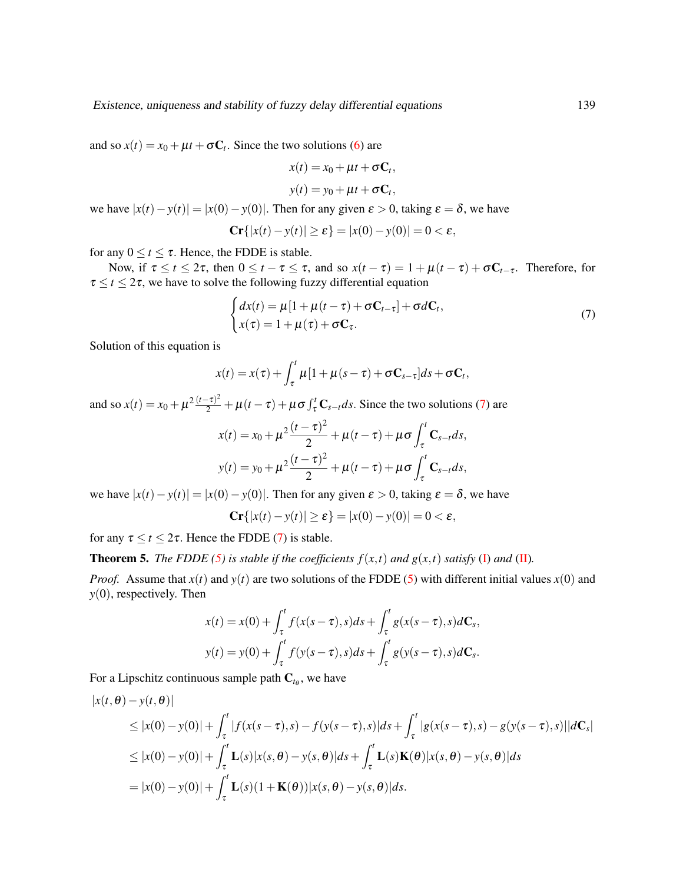and so  $x(t) = x_0 + \mu t + \sigma C_t$ . Since the two solutions [\(6\)](#page-9-1) are

$$
x(t) = x_0 + \mu t + \sigma \mathbf{C}_t,
$$
  

$$
y(t) = y_0 + \mu t + \sigma \mathbf{C}_t,
$$

we have  $|x(t) - y(t)| = |x(0) - y(0)|$ . Then for any given  $\varepsilon > 0$ , taking  $\varepsilon = \delta$ , we have

$$
\mathbf{Cr}\{|x(t)-y(t)|\geq \varepsilon\}=|x(0)-y(0)|=0<\varepsilon,
$$

for any  $0 \le t \le \tau$ . Hence, the FDDE is stable.

Now, if  $\tau \le t \le 2\tau$ , then  $0 \le t - \tau \le \tau$ , and so  $x(t - \tau) = 1 + \mu(t - \tau) + \sigma C_{t - \tau}$ . Therefore, for  $\tau \le t \le 2\tau$ , we have to solve the following fuzzy differential equation

<span id="page-10-0"></span>
$$
\begin{cases} dx(t) = \mu[1 + \mu(t - \tau) + \sigma \mathbf{C}_{t - \tau}] + \sigma d\mathbf{C}_t, \\ x(\tau) = 1 + \mu(\tau) + \sigma \mathbf{C}_{\tau}. \end{cases}
$$
\n(7)

Solution of this equation is

$$
x(t) = x(\tau) + \int_{\tau}^{t} \mu [1 + \mu (s - \tau) + \sigma \mathbf{C}_{s-\tau}] ds + \sigma \mathbf{C}_{t},
$$

and so  $x(t) = x_0 + \mu^2 \frac{(t-\tau)^2}{2} + \mu(t-\tau) + \mu \sigma \int_{\tau}^{t} \mathbf{C}_{s-t} ds$ . Since the two solutions [\(7\)](#page-10-0) are

$$
x(t) = x_0 + \mu^2 \frac{(t - \tau)^2}{2} + \mu(t - \tau) + \mu \sigma \int_{\tau}^{t} \mathbf{C}_{s-t} ds,
$$
  

$$
y(t) = y_0 + \mu^2 \frac{(t - \tau)^2}{2} + \mu(t - \tau) + \mu \sigma \int_{\tau}^{t} \mathbf{C}_{s-t} ds,
$$

we have  $|x(t) - y(t)| = |x(0) - y(0)|$ . Then for any given  $\varepsilon > 0$ , taking  $\varepsilon = \delta$ , we have

 $\mathbf{Cr} \{|x(t) - y(t)| > \varepsilon\} = |x(0) - y(0)| = 0 < \varepsilon,$ 

for any  $\tau \le t \le 2\tau$ . Hence the FDDE [\(7\)](#page-10-0) is stable.

**Theorem 5.** *The FDDE* [\(5\)](#page-9-0) *is stable if the coefficients*  $f(x,t)$  *and*  $g(x,t)$  *satisfy* [\(I\)](#page-5-2) *and* [\(II\)](#page-5-3)*.* 

*Proof.* Assume that  $x(t)$  and  $y(t)$  are two solutions of the FDDE [\(5\)](#page-9-0) with different initial values  $x(0)$  and *y*(0), respectively. Then

$$
x(t) = x(0) + \int_{\tau}^{t} f(x(s-\tau),s)ds + \int_{\tau}^{t} g(x(s-\tau),s)d\mathbf{C}_{s},
$$
  

$$
y(t) = y(0) + \int_{\tau}^{t} f(y(s-\tau),s)ds + \int_{\tau}^{t} g(y(s-\tau),s)d\mathbf{C}_{s}.
$$

For a Lipschitz continuous sample path  $C_{t_{\theta}}$ , we have

$$
|x(t, \theta) - y(t, \theta)|
$$
  
\n
$$
\leq |x(0) - y(0)| + \int_{\tau}^{t} |f(x(s-\tau), s) - f(y(s-\tau), s)| ds + \int_{\tau}^{t} |g(x(s-\tau), s) - g(y(s-\tau), s)| d\mathbf{C}_{s}|
$$
  
\n
$$
\leq |x(0) - y(0)| + \int_{\tau}^{t} \mathbf{L}(s) |x(s, \theta) - y(s, \theta)| ds + \int_{\tau}^{t} \mathbf{L}(s) \mathbf{K}(\theta) |x(s, \theta) - y(s, \theta)| ds
$$
  
\n
$$
= |x(0) - y(0)| + \int_{\tau}^{t} \mathbf{L}(s) (1 + \mathbf{K}(\theta)) |x(s, \theta) - y(s, \theta)| ds.
$$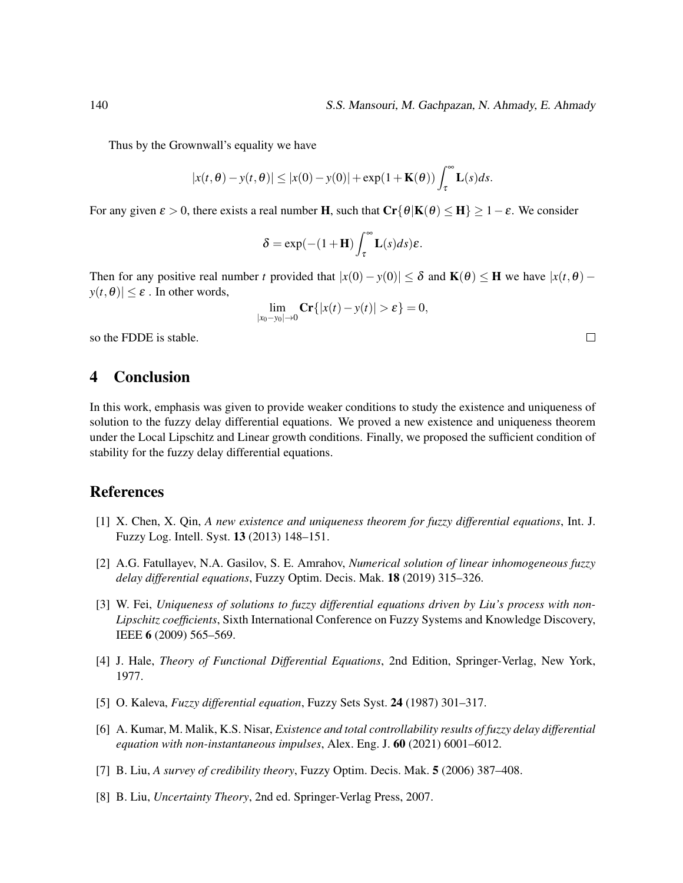Thus by the Grownwall's equality we have

$$
|x(t,\theta)-y(t,\theta)| \le |x(0)-y(0)| + \exp(1+\mathbf{K}(\theta)) \int_{\tau}^{\infty} \mathbf{L}(s)ds.
$$

For any given  $\varepsilon > 0$ , there exists a real number H, such that  $\mathbf{Cr}\{\theta|\mathbf{K}(\theta) \leq \mathbf{H}\} > 1-\varepsilon$ . We consider

$$
\delta = \exp(-(1+\mathbf{H})\int_{\tau}^{\infty} \mathbf{L}(s)ds)\varepsilon.
$$

Then for any positive real number *t* provided that  $|x(0) - y(0)| \le \delta$  and  $K(\theta) \le H$  we have  $|x(t, \theta) - y(0)| \le \delta$  $y(t, \theta) \leq \varepsilon$ . In other words,

$$
\lim_{|x_0-y_0|\to 0} \mathbf{Cr}\{|x(t)-y(t)|>\varepsilon\}=0,
$$

so the FDDE is stable.

# <span id="page-11-6"></span>4 Conclusion

In this work, emphasis was given to provide weaker conditions to study the existence and uniqueness of solution to the fuzzy delay differential equations. We proved a new existence and uniqueness theorem under the Local Lipschitz and Linear growth conditions. Finally, we proposed the sufficient condition of stability for the fuzzy delay differential equations.

## References

- <span id="page-11-7"></span>[1] X. Chen, X. Qin, *A new existence and uniqueness theorem for fuzzy differential equations*, Int. J. Fuzzy Log. Intell. Syst. 13 (2013) 148–151.
- <span id="page-11-4"></span>[2] A.G. Fatullayev, N.A. Gasilov, S. E. Amrahov, *Numerical solution of linear inhomogeneous fuzzy delay differential equations*, Fuzzy Optim. Decis. Mak. 18 (2019) 315–326.
- <span id="page-11-3"></span>[3] W. Fei, *Uniqueness of solutions to fuzzy differential equations driven by Liu's process with non-Lipschitz coefficients*, Sixth International Conference on Fuzzy Systems and Knowledge Discovery, IEEE 6 (2009) 565–569.
- <span id="page-11-0"></span>[4] J. Hale, *Theory of Functional Differential Equations*, 2nd Edition, Springer-Verlag, New York, 1977.
- <span id="page-11-2"></span>[5] O. Kaleva, *Fuzzy differential equation*, Fuzzy Sets Syst. 24 (1987) 301–317.
- <span id="page-11-5"></span>[6] A. Kumar, M. Malik, K.S. Nisar, *Existence and total controllability results of fuzzy delay differential equation with non-instantaneous impulses*, Alex. Eng. J. 60 (2021) 6001–6012.
- <span id="page-11-8"></span>[7] B. Liu, *A survey of credibility theory*, Fuzzy Optim. Decis. Mak. 5 (2006) 387–408.
- <span id="page-11-1"></span>[8] B. Liu, *Uncertainty Theory*, 2nd ed. Springer-Verlag Press, 2007.

 $\Box$